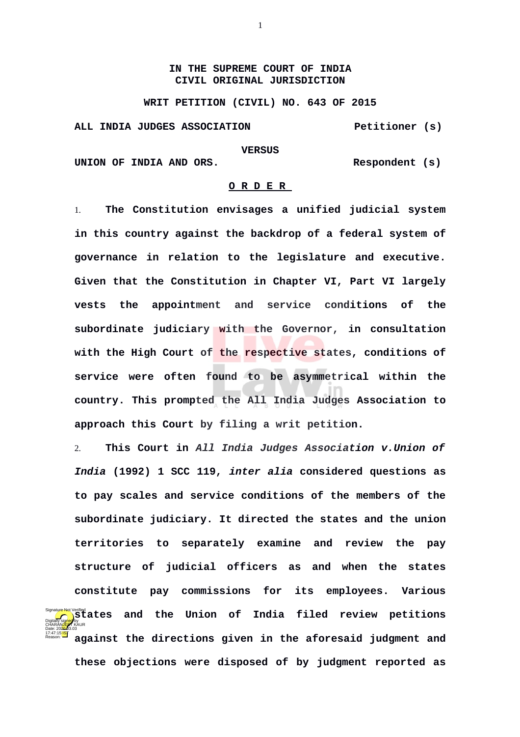## **IN THE SUPREME COURT OF INDIA CIVIL ORIGINAL JURISDICTION**

**WRIT PETITION (CIVIL) NO. 643 OF 2015**

**ALL INDIA JUDGES ASSOCIATION Petitioner (s)**

## **VERSUS**

UNION OF INDIA AND ORS. Respondent (s)

Reason:

## **O R D E R**

1. **The Constitution envisages a unified judicial system in this country against the backdrop of a federal system of governance in relation to the legislature and executive. Given that the Constitution in Chapter VI, Part VI largely vests the appointment and service conditions of the subordinate judiciary with the Governor, in consultation with the High Court of the respective states, conditions of service were often found to be asymmetrical within the country. This prompted the All India Judges Association to approach this Court by filing a writ petition.** 

2. **This Court in** *All India Judges Association v.Union of India* **(1992) 1 SCC 119,** *inter alia* **considered questions as to pay scales and service conditions of the members of the subordinate judiciary. It directed the states and the union territories to separately examine and review the pay structure of judicial officers as and when the states constitute pay commissions for its employees. Various Signature Not Verified Concilent** Signature Not Verified Signature Not Verified Signature Not Verified Signature Not Verified Signature Not Verified Signature Not Verified Signature Not Verified Signature Not Verified Sig **against the directions given in the aforesaid judgment and these objections were disposed of by judgment reported as** Digitally signed by CHARAN<mark>JEF</mark>T KAUR Date: 2020.03.03 17:47:15 IST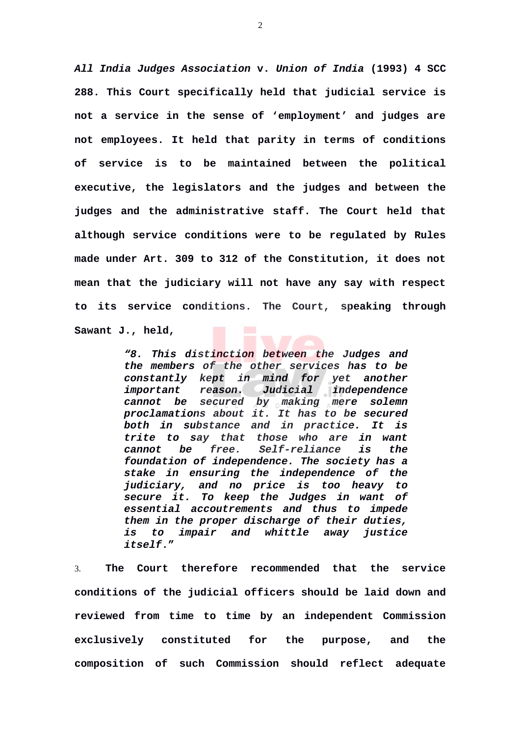*All India Judges Association* **v.** *Union of India* **(1993) 4 SCC 288. This Court specifically held that judicial service is not a service in the sense of 'employment' and judges are not employees. It held that parity in terms of conditions of service is to be maintained between the political executive, the legislators and the judges and between the judges and the administrative staff. The Court held that although service conditions were to be regulated by Rules made under Art. 309 to 312 of the Constitution, it does not mean that the judiciary will not have any say with respect to its service conditions. The Court, speaking through Sawant J., held,** 

> *"8. This distinction between the Judges and the members of the other services has to be constantly kept in mind for yet another important reason. Judicial independence cannot be secured by making mere solemn proclamations about it. It has to be secured both in substance and in practice. It is trite to say that those who are in want cannot be free. Self-reliance is the foundation of independence. The society has a stake in ensuring the independence of the judiciary, and no price is too heavy to secure it. To keep the Judges in want of essential accoutrements and thus to impede them in the proper discharge of their duties, is to impair and whittle away justice itself***."**

3. **The Court therefore recommended that the service conditions of the judicial officers should be laid down and reviewed from time to time by an independent Commission exclusively constituted for the purpose, and the composition of such Commission should reflect adequate**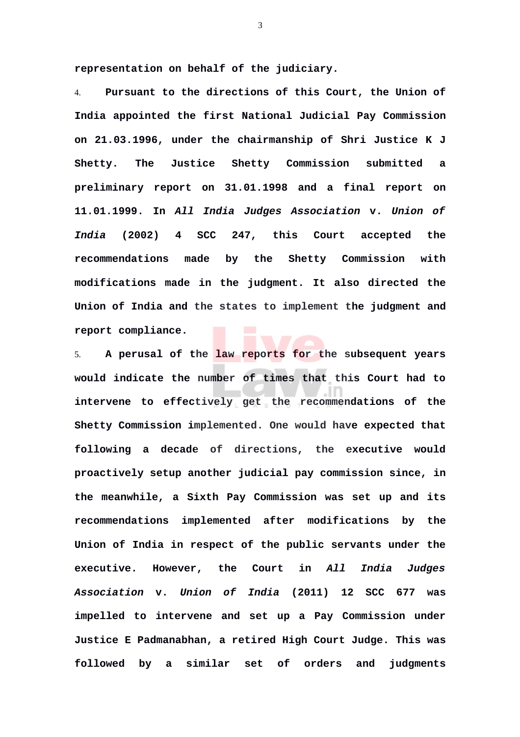**representation on behalf of the judiciary.**

4. **Pursuant to the directions of this Court, the Union of India appointed the first National Judicial Pay Commission on 21.03.1996, under the chairmanship of Shri Justice K J Shetty. The Justice Shetty Commission submitted a preliminary report on 31.01.1998 and a final report on 11.01.1999. In** *All India Judges Association* **v.** *Union of India* **(2002) 4 SCC 247, this Court accepted the recommendations made by the Shetty Commission with modifications made in the judgment. It also directed the Union of India and the states to implement the judgment and report compliance.**

5. **A perusal of the law reports for the subsequent years would indicate the number of times that this Court had to intervene to effectively get the recommendations of the Shetty Commission implemented. One would have expected that following a decade of directions, the executive would proactively setup another judicial pay commission since, in the meanwhile, a Sixth Pay Commission was set up and its recommendations implemented after modifications by the Union of India in respect of the public servants under the executive. However, the Court in** *All India Judges Association* **v.** *Union of India* **(2011) 12 SCC 677 was impelled to intervene and set up a Pay Commission under Justice E Padmanabhan, a retired High Court Judge. This was followed by a similar set of orders and judgments**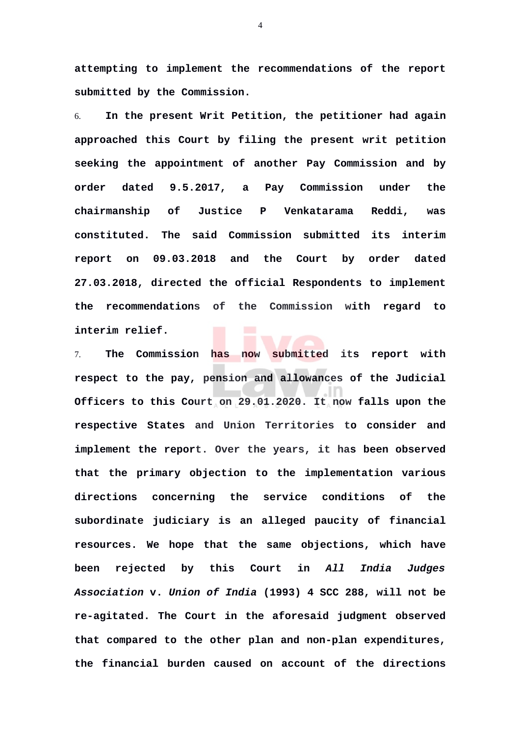**attempting to implement the recommendations of the report submitted by the Commission.** 

6. **In the present Writ Petition, the petitioner had again approached this Court by filing the present writ petition seeking the appointment of another Pay Commission and by order dated 9.5.2017, a Pay Commission under the chairmanship of Justice P Venkatarama Reddi, was constituted. The said Commission submitted its interim report on 09.03.2018 and the Court by order dated 27.03.2018, directed the official Respondents to implement the recommendations of the Commission with regard to interim relief.** 

7. **The Commission has now submitted its report with respect to the pay, pension and allowances of the Judicial Officers to this Court on 29.01.2020. It now falls upon the respective States and Union Territories to consider and implement the report. Over the years, it has been observed that the primary objection to the implementation various directions concerning the service conditions of the subordinate judiciary is an alleged paucity of financial resources. We hope that the same objections, which have been rejected by this Court in** *All India Judges Association* **v.** *Union of India* **(1993) 4 SCC 288, will not be re-agitated. The Court in the aforesaid judgment observed that compared to the other plan and non-plan expenditures, the financial burden caused on account of the directions**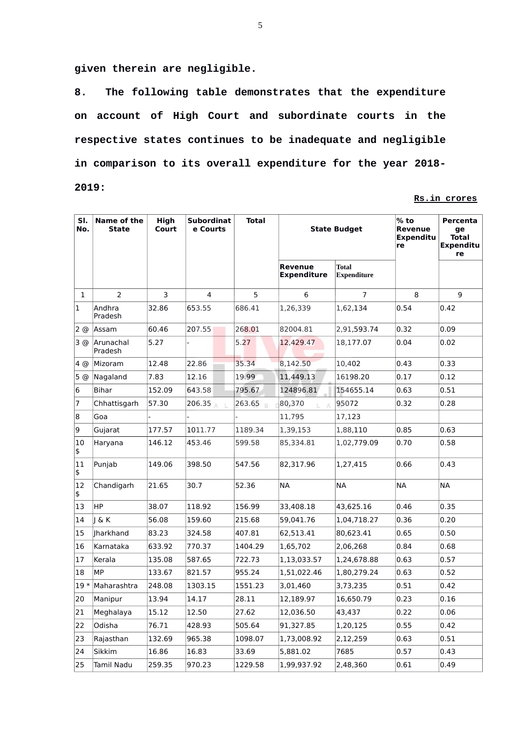**given therein are negligible.** 

**8. The following table demonstrates that the expenditure on account of High Court and subordinate courts in the respective states continues to be inadequate and negligible in comparison to its overall expenditure for the year 2018- 2019:**

**Rs.in crores**

| SI.<br>No.   | Name of the<br>State | High<br>Court | <b>Subordinat</b><br>e Courts | <b>Total</b> | <b>State Budget</b>           |                                    | $%$ to<br><b>Revenue</b><br><b>Expenditu</b><br>re | Percenta<br>ge<br><b>Total</b><br>Expenditu<br>re |
|--------------|----------------------|---------------|-------------------------------|--------------|-------------------------------|------------------------------------|----------------------------------------------------|---------------------------------------------------|
|              |                      |               |                               |              | Revenue<br><b>Expenditure</b> | <b>Total</b><br><b>Expenditure</b> |                                                    |                                                   |
| $\mathbf{1}$ | $\overline{2}$       | 3             | 4                             | 5            | 6                             | $\overline{7}$                     | 8                                                  | 9                                                 |
| 1            | Andhra<br>Pradesh    | 32.86         | 653.55                        | 686.41       | 1,26,339                      | 1,62,134                           | 0.54                                               | 0.42                                              |
| 2 @          | Assam                | 60.46         | 207.55                        | 268.01       | 82004.81                      | 2,91,593.74                        | 0.32                                               | 0.09                                              |
| 3@           | Arunachal<br>Pradesh | 5.27          |                               | 5.27         | 12,429.47                     | 18,177.07                          | 0.04                                               | 0.02                                              |
| 4 @          | Mizoram              | 12.48         | 22.86                         | 35.34        | 8,142.50                      | 10,402                             | 0.43                                               | 0.33                                              |
| 5 @          | Nagaland             | 7.83          | 12.16                         | 19.99        | 11,449.13                     | 16198.20                           | 0.17                                               | 0.12                                              |
| 6            | Bihar                | 152.09        | 643.58                        | 795.67       | 124896.81                     | 154655.14                          | 0.63                                               | 0.51                                              |
| 7            | Chhattisgarh         | 57.30         | 206.35                        | 263.65       | 80,370                        | 95072                              | 0.32                                               | 0.28                                              |
| 8            | Goa                  |               |                               |              | 11,795                        | 17,123                             |                                                    |                                                   |
| 9            | Gujarat              | 177.57        | 1011.77                       | 1189.34      | 1,39,153                      | 1,88,110                           | 0.85                                               | 0.63                                              |
| 10<br>\$     | Haryana              | 146.12        | 453.46                        | 599.58       | 85,334.81                     | 1,02,779.09                        | 0.70                                               | 0.58                                              |
| 11<br>\$     | Punjab               | 149.06        | 398.50                        | 547.56       | 82,317.96                     | 1,27,415                           | 0.66                                               | 0.43                                              |
| 12<br>\$     | Chandigarh           | 21.65         | 30.7                          | 52.36        | NA                            | <b>NA</b>                          | <b>NA</b>                                          | <b>NA</b>                                         |
| 13           | HP.                  | 38.07         | 118.92                        | 156.99       | 33,408.18                     | 43,625.16                          | 0.46                                               | 0.35                                              |
| 14           | 1 & K                | 56.08         | 159.60                        | 215.68       | 59,041.76                     | 1,04,718.27                        | 0.36                                               | 0.20                                              |
| 15           | <b>Iharkhand</b>     | 83.23         | 324.58                        | 407.81       | 62,513.41                     | 80,623.41                          | 0.65                                               | 0.50                                              |
| 16           | Karnataka            | 633.92        | 770.37                        | 1404.29      | 1,65,702                      | 2,06,268                           | 0.84                                               | 0.68                                              |
| 17           | Kerala               | 135.08        | 587.65                        | 722.73       | 1,13,033.57                   | 1,24,678.88                        | 0.63                                               | 0.57                                              |
| 18           | MP                   | 133.67        | 821.57                        | 955.24       | 1,51,022.46                   | 1,80,279.24                        | 0.63                                               | 0.52                                              |
| $19*$        | Maharashtra          | 248.08        | 1303.15                       | 1551.23      | 3,01,460                      | 3,73,235                           | 0.51                                               | 0.42                                              |
| 20           | Manipur              | 13.94         | 14.17                         | 28.11        | 12,189.97                     | 16,650.79                          | 0.23                                               | 0.16                                              |
| 21           | Meghalaya            | 15.12         | 12.50                         | 27.62        | 12,036.50                     | 43,437                             | 0.22                                               | 0.06                                              |
| 22           | Odisha               | 76.71         | 428.93                        | 505.64       | 91,327.85                     | 1,20,125                           | 0.55                                               | 0.42                                              |
| 23           | Rajasthan            | 132.69        | 965.38                        | 1098.07      | 1,73,008.92                   | 2,12,259                           | 0.63                                               | 0.51                                              |
| 24           | Sikkim               | 16.86         | 16.83                         | 33.69        | 5,881.02                      | 7685                               | 0.57                                               | $ 0.43\rangle$                                    |
| 25           | Tamil Nadu           | 259.35        | 970.23                        | 1229.58      | 1,99,937.92                   | 2,48,360                           | 0.61                                               | $ 0.49\rangle$                                    |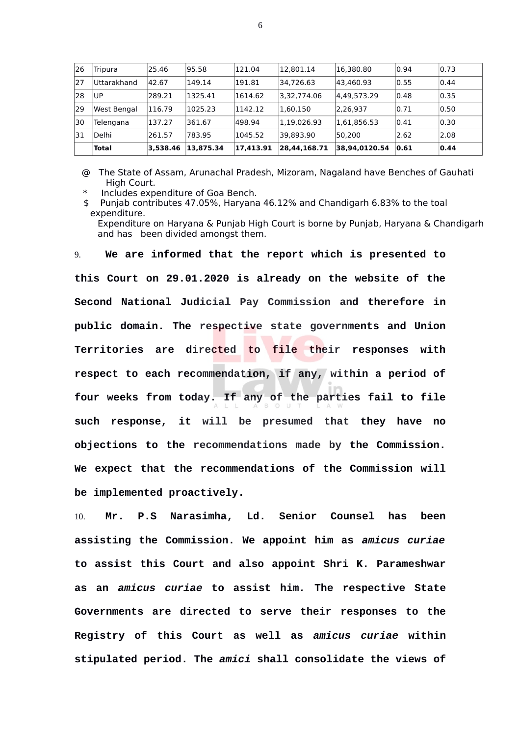| 26 | Tripura      | 25.46    | 95.58     | 121.04    | 12,801.14    | 16,380.80     | 0.94 | 0.73 |
|----|--------------|----------|-----------|-----------|--------------|---------------|------|------|
| 27 | Uttarakhand  | 42.67    | 149.14    | 191.81    | 34.726.63    | 43.460.93     | 0.55 | 0.44 |
| 28 | UP           | 289.21   | 1325.41   | 1614.62   | 3,32,774.06  | 4,49,573.29   | 0.48 | 0.35 |
| 29 | West Bengal  | 116.79   | 1025.23   | 1142.12   | 1,60,150     | 2,26,937      | 0.71 | 0.50 |
| 30 | Telengana    | 137.27   | 361.67    | 498.94    | 1,19,026.93  | 1,61,856.53   | 0.41 | 0.30 |
| 31 | Delhi        | 261.57   | 783.95    | 1045.52   | 39,893.90    | 50.200        | 2.62 | 2.08 |
|    | <b>Total</b> | 3,538.46 | 13,875.34 | 17,413.91 | 28,44,168.71 | 38,94,0120.54 | 0.61 | 0.44 |

@ The State of Assam, Arunachal Pradesh, Mizoram, Nagaland have Benches of Gauhati High Court.

Includes expenditure of Goa Bench.

\$ Punjab contributes 47.05%, Haryana 46.12% and Chandigarh 6.83% to the toal expenditure.

Expenditure on Haryana & Punjab High Court is borne by Punjab, Haryana & Chandigarh and has been divided amongst them.

9. **We are informed that the report which is presented to this Court on 29.01.2020 is already on the website of the Second National Judicial Pay Commission and therefore in public domain. The respective state governments and Union Territories are directed to file their responses with respect to each recommendation, if any, within a period of four weeks from today. If any of the parties fail to file such response, it will be presumed that they have no objections to the recommendations made by the Commission. We expect that the recommendations of the Commission will be implemented proactively.**

10. **Mr. P.S Narasimha, Ld. Senior Counsel has been assisting the Commission. We appoint him as** *amicus curiae* **to assist this Court and also appoint Shri K. Parameshwar as an** *amicus curiae* **to assist him***.* **The respective State Governments are directed to serve their responses to the Registry of this Court as well as** *amicus curiae* **within stipulated period. The** *amici* **shall consolidate the views of**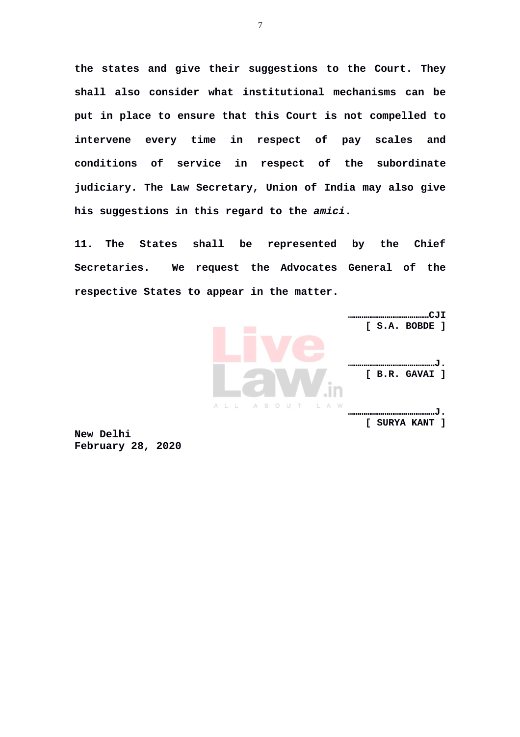**the states and give their suggestions to the Court. They shall also consider what institutional mechanisms can be put in place to ensure that this Court is not compelled to intervene every time in respect of pay scales and conditions of service in respect of the subordinate judiciary. The Law Secretary, Union of India may also give his suggestions in this regard to the** *amici***.**

**11. The States shall be represented by the Chief Secretaries. We request the Advocates General of the respective States to appear in the matter.**



**New Delhi February 28, 2020**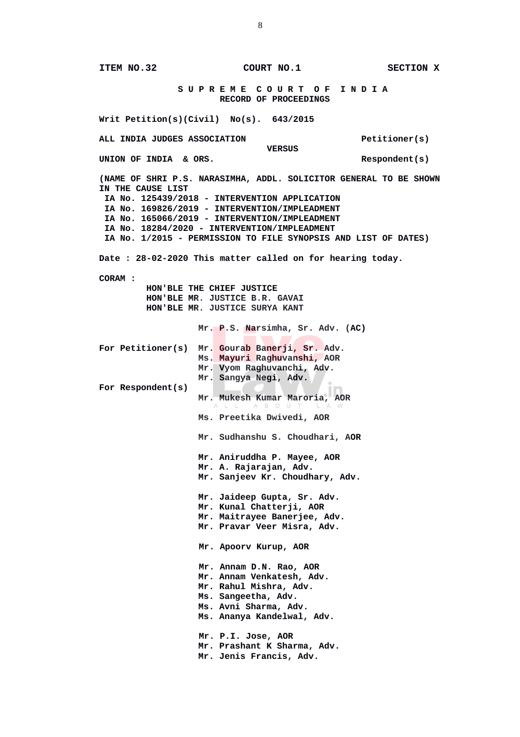**ITEM NO.32 COURT NO.1 SECTION X S U P R E M E C O U R T O F I N D I A RECORD OF PROCEEDINGS Writ Petition(s)(Civil) No(s). 643/2015** ALL INDIA JUDGES ASSOCIATION<br>VERSUS *VERSUS* **UNION OF INDIA & ORS. Respondent(s) (NAME OF SHRI P.S. NARASIMHA, ADDL. SOLICITOR GENERAL TO BE SHOWN IN THE CAUSE LIST IA No. 125439/2018 - INTERVENTION APPLICATION IA No. 169826/2019 - INTERVENTION/IMPLEADMENT IA No. 165066/2019 - INTERVENTION/IMPLEADMENT IA No. 18284/2020 - INTERVENTION/IMPLEADMENT IA No. 1/2015 - PERMISSION TO FILE SYNOPSIS AND LIST OF DATES) Date : 28-02-2020 This matter called on for hearing today. CORAM : HON'BLE THE CHIEF JUSTICE HON'BLE MR. JUSTICE B.R. GAVAI HON'BLE MR. JUSTICE SURYA KANT Mr. P.S. Narsimha, Sr. Adv. (AC) For Petitioner(s) Mr. Gourab Banerji, Sr. Adv. Ms. Mayuri Raghuvanshi, AOR Mr. Vyom Raghuvanchi, Adv. Mr. Sangya Negi, Adv. For Respondent(s) Mr. Mukesh Kumar Maroria, AOR Ms. Preetika Dwivedi, AOR Mr. Sudhanshu S. Choudhari, AOR Mr. Aniruddha P. Mayee, AOR Mr. A. Rajarajan, Adv. Mr. Sanjeev Kr. Choudhary, Adv. Mr. Jaideep Gupta, Sr. Adv. Mr. Kunal Chatterji, AOR Mr. Maitrayee Banerjee, Adv. Mr. Pravar Veer Misra, Adv. Mr. Apoorv Kurup, AOR Mr. Annam D.N. Rao, AOR Mr. Annam Venkatesh, Adv. Mr. Rahul Mishra, Adv. Ms. Sangeetha, Adv. Ms. Avni Sharma, Adv. Ms. Ananya Kandelwal, Adv. Mr. P.I. Jose, AOR Mr. Prashant K Sharma, Adv. Mr. Jenis Francis, Adv.**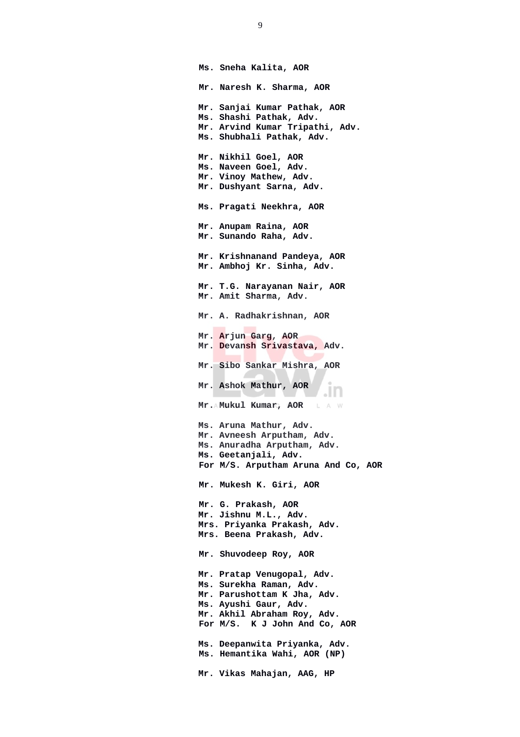**Ms. Sneha Kalita, AOR Mr. Naresh K. Sharma, AOR Mr. Sanjai Kumar Pathak, AOR Ms. Shashi Pathak, Adv. Mr. Arvind Kumar Tripathi, Adv. Ms. Shubhali Pathak, Adv. Mr. Nikhil Goel, AOR Ms. Naveen Goel, Adv. Mr. Vinoy Mathew, Adv. Mr. Dushyant Sarna, Adv. Ms. Pragati Neekhra, AOR Mr. Anupam Raina, AOR Mr. Sunando Raha, Adv. Mr. Krishnanand Pandeya, AOR Mr. Ambhoj Kr. Sinha, Adv. Mr. T.G. Narayanan Nair, AOR Mr. Amit Sharma, Adv. Mr. A. Radhakrishnan, AOR Mr. Arjun Garg, AOR Mr. Devansh Srivastava, Adv. Mr. Sibo Sankar Mishra, AOR Mr. Ashok Mathur, AOR** .ın  **Mr. Mukul Kumar, AOR** L A W **Ms. Aruna Mathur, Adv. Mr. Avneesh Arputham, Adv. Ms. Anuradha Arputham, Adv. Ms. Geetanjali, Adv. For M/S. Arputham Aruna And Co, AOR Mr. Mukesh K. Giri, AOR Mr. G. Prakash, AOR Mr. Jishnu M.L., Adv. Mrs. Priyanka Prakash, Adv. Mrs. Beena Prakash, Adv. Mr. Shuvodeep Roy, AOR Mr. Pratap Venugopal, Adv. Ms. Surekha Raman, Adv. Mr. Parushottam K Jha, Adv. Ms. Ayushi Gaur, Adv. Mr. Akhil Abraham Roy, Adv. For M/S. K J John And Co, AOR Ms. Deepanwita Priyanka, Adv. Ms. Hemantika Wahi, AOR (NP) Mr. Vikas Mahajan, AAG, HP**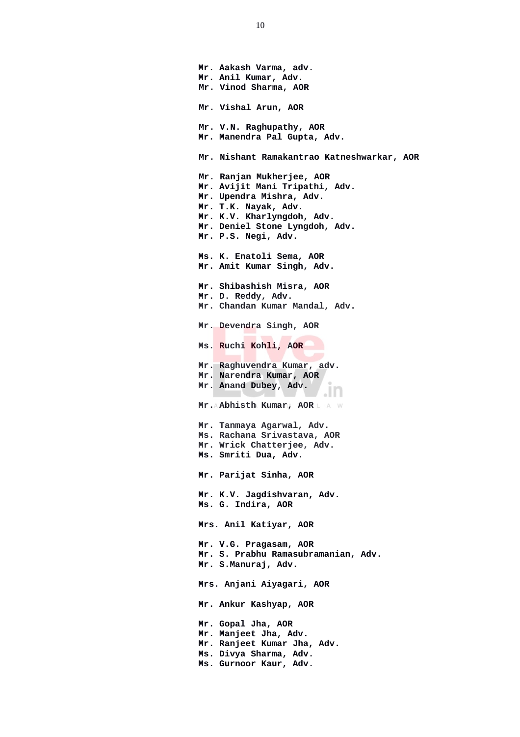**Mr. Aakash Varma, adv. Mr. Anil Kumar, Adv. Mr. Vinod Sharma, AOR Mr. Vishal Arun, AOR Mr. V.N. Raghupathy, AOR Mr. Manendra Pal Gupta, Adv. Mr. Nishant Ramakantrao Katneshwarkar, AOR Mr. Ranjan Mukherjee, AOR Mr. Avijit Mani Tripathi, Adv. Mr. Upendra Mishra, Adv. Mr. T.K. Nayak, Adv. Mr. K.V. Kharlyngdoh, Adv. Mr. Deniel Stone Lyngdoh, Adv. Mr. P.S. Negi, Adv. Ms. K. Enatoli Sema, AOR Mr. Amit Kumar Singh, Adv. Mr. Shibashish Misra, AOR Mr. D. Reddy, Adv. Mr. Chandan Kumar Mandal, Adv. Mr. Devendra Singh, AOR Ms. Ruchi Kohli, AOR Mr. Raghuvendra Kumar, adv. Mr. Narendra Kumar, AOR Mr. Anand Dubey, Adv.** .ın  **Mr. Abhisth Kumar, AOR Mr. Tanmaya Agarwal, Adv. Ms. Rachana Srivastava, AOR Mr. Wrick Chatterjee, Adv. Ms. Smriti Dua, Adv. Mr. Parijat Sinha, AOR Mr. K.V. Jagdishvaran, Adv. Ms. G. Indira, AOR Mrs. Anil Katiyar, AOR Mr. V.G. Pragasam, AOR Mr. S. Prabhu Ramasubramanian, Adv. Mr. S.Manuraj, Adv. Mrs. Anjani Aiyagari, AOR Mr. Ankur Kashyap, AOR Mr. Gopal Jha, AOR Mr. Manjeet Jha, Adv. Mr. Ranjeet Kumar Jha, Adv. Ms. Divya Sharma, Adv. Ms. Gurnoor Kaur, Adv.**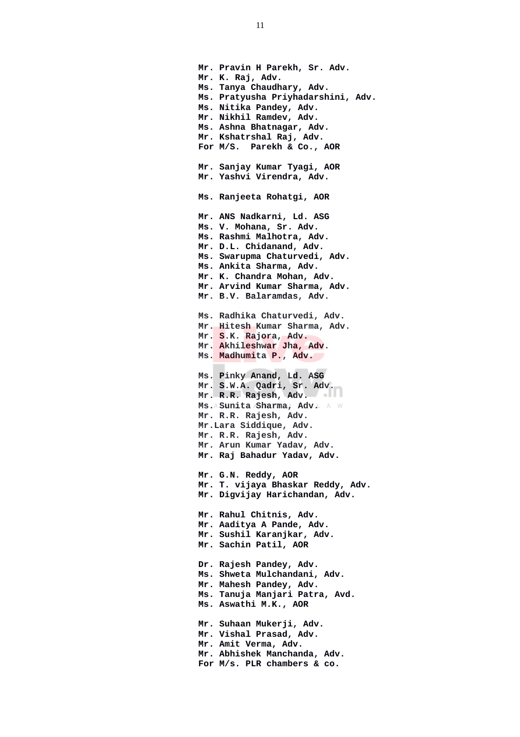**Mr. Pravin H Parekh, Sr. Adv. Mr. K. Raj, Adv. Ms. Tanya Chaudhary, Adv. Ms. Pratyusha Priyhadarshini, Adv. Ms. Nitika Pandey, Adv. Mr. Nikhil Ramdev, Adv. Ms. Ashna Bhatnagar, Adv. Mr. Kshatrshal Raj, Adv. For M/S. Parekh & Co., AOR Mr. Sanjay Kumar Tyagi, AOR Mr. Yashvi Virendra, Adv. Ms. Ranjeeta Rohatgi, AOR Mr. ANS Nadkarni, Ld. ASG Ms. V. Mohana, Sr. Adv. Ms. Rashmi Malhotra, Adv. Mr. D.L. Chidanand, Adv. Ms. Swarupma Chaturvedi, Adv. Ms. Ankita Sharma, Adv. Mr. K. Chandra Mohan, Adv. Mr. Arvind Kumar Sharma, Adv. Mr. B.V. Balaramdas, Adv. Ms. Radhika Chaturvedi, Adv. Mr. Hitesh Kumar Sharma, Adv. Mr. S.K. Rajora, Adv. Mr. Akhileshwar Jha, Adv. Ms. Madhumita P., Adv. Ms. Pinky Anand, Ld. ASG Mr. S.W.A. Qadri, Sr. Adv. Mr. R.R. Rajesh, Adv.** Ms. A Sunita Sharma, Adv. A W **Mr. R.R. Rajesh, Adv. Mr.Lara Siddique, Adv. Mr. R.R. Rajesh, Adv. Mr. Arun Kumar Yadav, Adv. Mr. Raj Bahadur Yadav, Adv. Mr. G.N. Reddy, AOR Mr. T. vijaya Bhaskar Reddy, Adv. Mr. Digvijay Harichandan, Adv. Mr. Rahul Chitnis, Adv. Mr. Aaditya A Pande, Adv. Mr. Sushil Karanjkar, Adv. Mr. Sachin Patil, AOR Dr. Rajesh Pandey, Adv. Ms. Shweta Mulchandani, Adv. Mr. Mahesh Pandey, Adv. Ms. Tanuja Manjari Patra, Avd. Ms. Aswathi M.K., AOR Mr. Suhaan Mukerji, Adv. Mr. Vishal Prasad, Adv. Mr. Amit Verma, Adv. Mr. Abhishek Manchanda, Adv. For M/s. PLR chambers & co.**